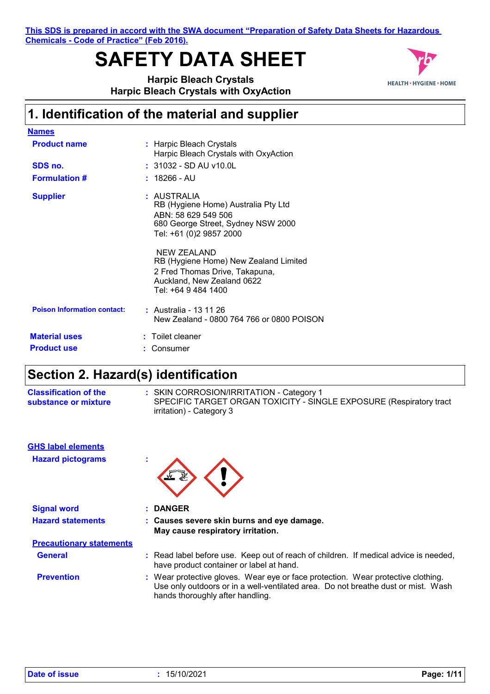**This SDS is prepared in accord with the SWA document "Preparation of Safety Data Sheets for Hazardous Chemicals - Code of Practice" (Feb 2016).**

# **SAFETY DATA SHEET**



**Harpic Bleach Crystals Harpic Bleach Crystals with OxyAction**

### **1. Identification of the material and supplier**

| <b>Names</b>                       |                                                                                                                                             |
|------------------------------------|---------------------------------------------------------------------------------------------------------------------------------------------|
| <b>Product name</b>                | : Harpic Bleach Crystals<br>Harpic Bleach Crystals with OxyAction                                                                           |
| SDS no.                            | $: 31032 - SD$ AU v10.0L                                                                                                                    |
| <b>Formulation #</b>               | $: 18266$ - AU                                                                                                                              |
| <b>Supplier</b>                    | : AUSTRALIA<br>RB (Hygiene Home) Australia Pty Ltd<br>ABN: 58 629 549 506<br>680 George Street, Sydney NSW 2000<br>Tel: +61 (0)2 9857 2000  |
|                                    | NEW ZEALAND<br>RB (Hygiene Home) New Zealand Limited<br>2 Fred Thomas Drive, Takapuna,<br>Auckland, New Zealand 0622<br>Tel: +64 9 484 1400 |
| <b>Poison Information contact:</b> | : Australia - 13 11 26<br>New Zealand - 0800 764 766 or 0800 POISON                                                                         |
| <b>Material uses</b>               | $:$ Toilet cleaner                                                                                                                          |
| <b>Product use</b>                 | Consumer                                                                                                                                    |

## **Section 2. Hazard(s) identification**

| <b>Classification of the</b> | : SKIN CORROSION/IRRITATION - Category 1                            |
|------------------------------|---------------------------------------------------------------------|
| substance or mixture         | SPECIFIC TARGET ORGAN TOXICITY - SINGLE EXPOSURE (Respiratory tract |
|                              | irritation) - Category 3                                            |

| <b>GHS label elements</b><br><b>Hazard pictograms</b> | ×. |                                                                                                                                                                                                           |
|-------------------------------------------------------|----|-----------------------------------------------------------------------------------------------------------------------------------------------------------------------------------------------------------|
| <b>Signal word</b>                                    |    | : DANGER                                                                                                                                                                                                  |
| <b>Hazard statements</b>                              |    | : Causes severe skin burns and eye damage.<br>May cause respiratory irritation.                                                                                                                           |
| <b>Precautionary statements</b>                       |    |                                                                                                                                                                                                           |
| <b>General</b>                                        |    | : Read label before use. Keep out of reach of children. If medical advice is needed,<br>have product container or label at hand.                                                                          |
| <b>Prevention</b>                                     |    | : Wear protective gloves. Wear eye or face protection. Wear protective clothing.<br>Use only outdoors or in a well-ventilated area. Do not breathe dust or mist. Wash<br>hands thoroughly after handling. |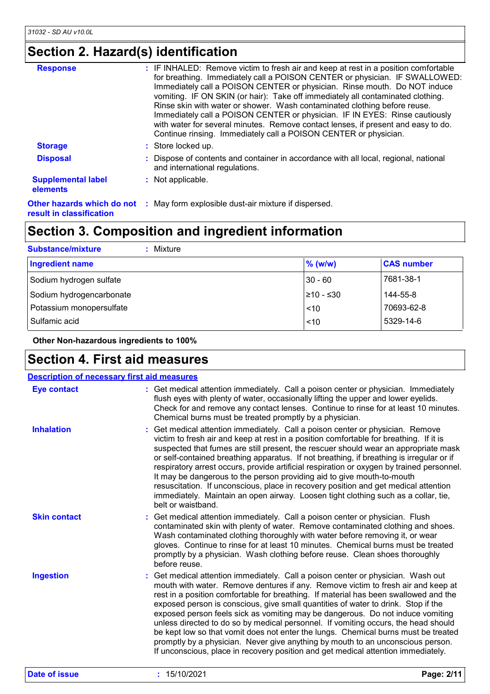## **Section 2. Hazard(s) identification**

| <b>Response</b>                                        | : IF INHALED: Remove victim to fresh air and keep at rest in a position comfortable<br>for breathing. Immediately call a POISON CENTER or physician. IF SWALLOWED:<br>Immediately call a POISON CENTER or physician. Rinse mouth. Do NOT induce<br>vomiting. IF ON SKIN (or hair): Take off immediately all contaminated clothing.<br>Rinse skin with water or shower. Wash contaminated clothing before reuse.<br>Immediately call a POISON CENTER or physician. IF IN EYES: Rinse cautiously<br>with water for several minutes. Remove contact lenses, if present and easy to do.<br>Continue rinsing. Immediately call a POISON CENTER or physician. |
|--------------------------------------------------------|---------------------------------------------------------------------------------------------------------------------------------------------------------------------------------------------------------------------------------------------------------------------------------------------------------------------------------------------------------------------------------------------------------------------------------------------------------------------------------------------------------------------------------------------------------------------------------------------------------------------------------------------------------|
| <b>Storage</b>                                         | : Store locked up.                                                                                                                                                                                                                                                                                                                                                                                                                                                                                                                                                                                                                                      |
| <b>Disposal</b>                                        | : Dispose of contents and container in accordance with all local, regional, national<br>and international regulations.                                                                                                                                                                                                                                                                                                                                                                                                                                                                                                                                  |
| <b>Supplemental label</b><br>elements                  | : Not applicable.                                                                                                                                                                                                                                                                                                                                                                                                                                                                                                                                                                                                                                       |
| Other hazards which do not<br>result in classification | : May form explosible dust-air mixture if dispersed.                                                                                                                                                                                                                                                                                                                                                                                                                                                                                                                                                                                                    |

## **Section 3. Composition and ingredient information**

| <b>Substance/mixture</b><br>Mixture |            |                   |
|-------------------------------------|------------|-------------------|
| <b>Ingredient name</b>              | $%$ (w/w)  | <b>CAS number</b> |
| Sodium hydrogen sulfate             | $30 - 60$  | 7681-38-1         |
| Sodium hydrogencarbonate            | 1≥10 - ≤30 | 144-55-8          |
| Potassium monopersulfate            | ~10        | 70693-62-8        |
| Sulfamic acid                       | < 10       | 5329-14-6         |

 **Other Non-hazardous ingredients to 100%**

### **Section 4. First aid measures**

| <b>Eye contact</b>  | : Get medical attention immediately. Call a poison center or physician. Immediately<br>flush eyes with plenty of water, occasionally lifting the upper and lower eyelids.<br>Check for and remove any contact lenses. Continue to rinse for at least 10 minutes.                                                                                                                                                                                                                                                                                                                                                                                                                                                                                                                                 |
|---------------------|--------------------------------------------------------------------------------------------------------------------------------------------------------------------------------------------------------------------------------------------------------------------------------------------------------------------------------------------------------------------------------------------------------------------------------------------------------------------------------------------------------------------------------------------------------------------------------------------------------------------------------------------------------------------------------------------------------------------------------------------------------------------------------------------------|
| <b>Inhalation</b>   | Chemical burns must be treated promptly by a physician.<br>: Get medical attention immediately. Call a poison center or physician. Remove<br>victim to fresh air and keep at rest in a position comfortable for breathing. If it is<br>suspected that fumes are still present, the rescuer should wear an appropriate mask<br>or self-contained breathing apparatus. If not breathing, if breathing is irregular or if<br>respiratory arrest occurs, provide artificial respiration or oxygen by trained personnel.<br>It may be dangerous to the person providing aid to give mouth-to-mouth<br>resuscitation. If unconscious, place in recovery position and get medical attention<br>immediately. Maintain an open airway. Loosen tight clothing such as a collar, tie,<br>belt or waistband. |
| <b>Skin contact</b> | Get medical attention immediately. Call a poison center or physician. Flush<br>contaminated skin with plenty of water. Remove contaminated clothing and shoes.<br>Wash contaminated clothing thoroughly with water before removing it, or wear<br>gloves. Continue to rinse for at least 10 minutes. Chemical burns must be treated<br>promptly by a physician. Wash clothing before reuse. Clean shoes thoroughly<br>before reuse.                                                                                                                                                                                                                                                                                                                                                              |
| <b>Ingestion</b>    | : Get medical attention immediately. Call a poison center or physician. Wash out<br>mouth with water. Remove dentures if any. Remove victim to fresh air and keep at<br>rest in a position comfortable for breathing. If material has been swallowed and the<br>exposed person is conscious, give small quantities of water to drink. Stop if the<br>exposed person feels sick as vomiting may be dangerous. Do not induce vomiting<br>unless directed to do so by medical personnel. If vomiting occurs, the head should<br>be kept low so that vomit does not enter the lungs. Chemical burns must be treated<br>promptly by a physician. Never give anything by mouth to an unconscious person.<br>If unconscious, place in recovery position and get medical attention immediately.          |
| Date of issue       | : 15/10/2021<br>Page: 2/11                                                                                                                                                                                                                                                                                                                                                                                                                                                                                                                                                                                                                                                                                                                                                                       |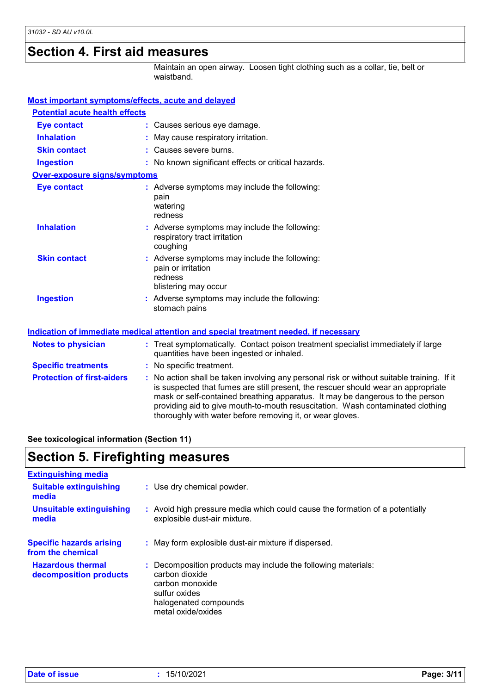### **Section 4. First aid measures**

Maintain an open airway. Loosen tight clothing such as a collar, tie, belt or waistband.

| Most important symptoms/effects, acute and delayed |                                                                                                                                                                                                                                                                                                                                                                                                                 |
|----------------------------------------------------|-----------------------------------------------------------------------------------------------------------------------------------------------------------------------------------------------------------------------------------------------------------------------------------------------------------------------------------------------------------------------------------------------------------------|
| <b>Potential acute health effects</b>              |                                                                                                                                                                                                                                                                                                                                                                                                                 |
| <b>Eye contact</b>                                 | : Causes serious eye damage.                                                                                                                                                                                                                                                                                                                                                                                    |
| <b>Inhalation</b>                                  | : May cause respiratory irritation.                                                                                                                                                                                                                                                                                                                                                                             |
| <b>Skin contact</b>                                | : Causes severe burns.                                                                                                                                                                                                                                                                                                                                                                                          |
| <b>Ingestion</b>                                   | : No known significant effects or critical hazards.                                                                                                                                                                                                                                                                                                                                                             |
| <b>Over-exposure signs/symptoms</b>                |                                                                                                                                                                                                                                                                                                                                                                                                                 |
| <b>Eye contact</b>                                 | : Adverse symptoms may include the following:<br>pain<br>watering<br>redness                                                                                                                                                                                                                                                                                                                                    |
| <b>Inhalation</b>                                  | : Adverse symptoms may include the following:<br>respiratory tract irritation<br>coughing                                                                                                                                                                                                                                                                                                                       |
| <b>Skin contact</b>                                | : Adverse symptoms may include the following:<br>pain or irritation<br>redness<br>blistering may occur                                                                                                                                                                                                                                                                                                          |
| <b>Ingestion</b>                                   | : Adverse symptoms may include the following:<br>stomach pains                                                                                                                                                                                                                                                                                                                                                  |
|                                                    | Indication of immediate medical attention and special treatment needed, if necessary                                                                                                                                                                                                                                                                                                                            |
| <b>Notes to physician</b>                          | : Treat symptomatically. Contact poison treatment specialist immediately if large<br>quantities have been ingested or inhaled.                                                                                                                                                                                                                                                                                  |
| <b>Specific treatments</b>                         | : No specific treatment.                                                                                                                                                                                                                                                                                                                                                                                        |
| <b>Protection of first-aiders</b>                  | : No action shall be taken involving any personal risk or without suitable training. If it<br>is suspected that fumes are still present, the rescuer should wear an appropriate<br>mask or self-contained breathing apparatus. It may be dangerous to the person<br>providing aid to give mouth-to-mouth resuscitation. Wash contaminated clothing<br>thoroughly with water before removing it, or wear gloves. |

**See toxicological information (Section 11)**

### **Section 5. Firefighting measures**

| <b>Extinguishing media</b>                           |                                                                                                                                                                    |
|------------------------------------------------------|--------------------------------------------------------------------------------------------------------------------------------------------------------------------|
| <b>Suitable extinguishing</b><br>media               | : Use dry chemical powder.                                                                                                                                         |
| <b>Unsuitable extinguishing</b><br>media             | : Avoid high pressure media which could cause the formation of a potentially<br>explosible dust-air mixture.                                                       |
| <b>Specific hazards arising</b><br>from the chemical | : May form explosible dust-air mixture if dispersed.                                                                                                               |
| <b>Hazardous thermal</b><br>decomposition products   | : Decomposition products may include the following materials:<br>carbon dioxide<br>carbon monoxide<br>sulfur oxides<br>halogenated compounds<br>metal oxide/oxides |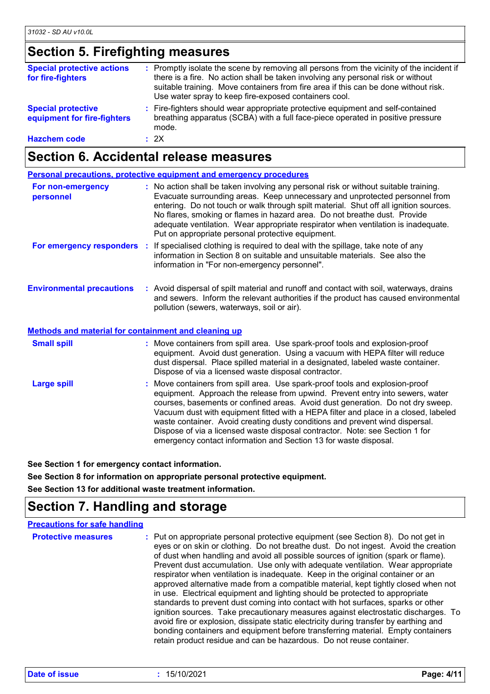## **Section 5. Firefighting measures**

| <b>Special protective actions</b><br>for fire-fighters   | : Promptly isolate the scene by removing all persons from the vicinity of the incident if<br>there is a fire. No action shall be taken involving any personal risk or without<br>suitable training. Move containers from fire area if this can be done without risk.<br>Use water spray to keep fire-exposed containers cool. |
|----------------------------------------------------------|-------------------------------------------------------------------------------------------------------------------------------------------------------------------------------------------------------------------------------------------------------------------------------------------------------------------------------|
| <b>Special protective</b><br>equipment for fire-fighters | : Fire-fighters should wear appropriate protective equipment and self-contained<br>breathing apparatus (SCBA) with a full face-piece operated in positive pressure<br>mode.                                                                                                                                                   |
| <b>Hazchem code</b>                                      | : 2X                                                                                                                                                                                                                                                                                                                          |

### **Section 6. Accidental release measures**

|                                                                                                 | <b>Personal precautions, protective equipment and emergency procedures</b>                                                                                                                                                                                                                                                                                                                                                                                                                                                                                                 |
|-------------------------------------------------------------------------------------------------|----------------------------------------------------------------------------------------------------------------------------------------------------------------------------------------------------------------------------------------------------------------------------------------------------------------------------------------------------------------------------------------------------------------------------------------------------------------------------------------------------------------------------------------------------------------------------|
| For non-emergency<br>personnel                                                                  | : No action shall be taken involving any personal risk or without suitable training.<br>Evacuate surrounding areas. Keep unnecessary and unprotected personnel from<br>entering. Do not touch or walk through spilt material. Shut off all ignition sources.<br>No flares, smoking or flames in hazard area. Do not breathe dust. Provide<br>adequate ventilation. Wear appropriate respirator when ventilation is inadequate.<br>Put on appropriate personal protective equipment.                                                                                        |
|                                                                                                 | For emergency responders : If specialised clothing is required to deal with the spillage, take note of any<br>information in Section 8 on suitable and unsuitable materials. See also the<br>information in "For non-emergency personnel".                                                                                                                                                                                                                                                                                                                                 |
| <b>Environmental precautions</b><br><b>Methods and material for containment and cleaning up</b> | : Avoid dispersal of spilt material and runoff and contact with soil, waterways, drains<br>and sewers. Inform the relevant authorities if the product has caused environmental<br>pollution (sewers, waterways, soil or air).                                                                                                                                                                                                                                                                                                                                              |
|                                                                                                 |                                                                                                                                                                                                                                                                                                                                                                                                                                                                                                                                                                            |
| <b>Small spill</b>                                                                              | : Move containers from spill area. Use spark-proof tools and explosion-proof<br>equipment. Avoid dust generation. Using a vacuum with HEPA filter will reduce<br>dust dispersal. Place spilled material in a designated, labeled waste container.<br>Dispose of via a licensed waste disposal contractor.                                                                                                                                                                                                                                                                  |
| <b>Large spill</b>                                                                              | : Move containers from spill area. Use spark-proof tools and explosion-proof<br>equipment. Approach the release from upwind. Prevent entry into sewers, water<br>courses, basements or confined areas. Avoid dust generation. Do not dry sweep.<br>Vacuum dust with equipment fitted with a HEPA filter and place in a closed, labeled<br>waste container. Avoid creating dusty conditions and prevent wind dispersal.<br>Dispose of via a licensed waste disposal contractor. Note: see Section 1 for<br>emergency contact information and Section 13 for waste disposal. |

**See Section 1 for emergency contact information.**

**See Section 8 for information on appropriate personal protective equipment.**

**See Section 13 for additional waste treatment information.**

### **Section 7. Handling and storage**

| <b>Precautions for safe handling</b> |                                                                                                                                                                                                                                                                                                                                                                                                                                                                                                                                                                                                                                                                                                                                                                                                                                                                                                                                                                                                                                          |
|--------------------------------------|------------------------------------------------------------------------------------------------------------------------------------------------------------------------------------------------------------------------------------------------------------------------------------------------------------------------------------------------------------------------------------------------------------------------------------------------------------------------------------------------------------------------------------------------------------------------------------------------------------------------------------------------------------------------------------------------------------------------------------------------------------------------------------------------------------------------------------------------------------------------------------------------------------------------------------------------------------------------------------------------------------------------------------------|
| <b>Protective measures</b>           | : Put on appropriate personal protective equipment (see Section 8). Do not get in<br>eyes or on skin or clothing. Do not breathe dust. Do not ingest. Avoid the creation<br>of dust when handling and avoid all possible sources of ignition (spark or flame).<br>Prevent dust accumulation. Use only with adequate ventilation. Wear appropriate<br>respirator when ventilation is inadequate. Keep in the original container or an<br>approved alternative made from a compatible material, kept tightly closed when not<br>in use. Electrical equipment and lighting should be protected to appropriate<br>standards to prevent dust coming into contact with hot surfaces, sparks or other<br>ignition sources. Take precautionary measures against electrostatic discharges. To<br>avoid fire or explosion, dissipate static electricity during transfer by earthing and<br>bonding containers and equipment before transferring material. Empty containers<br>retain product residue and can be hazardous. Do not reuse container. |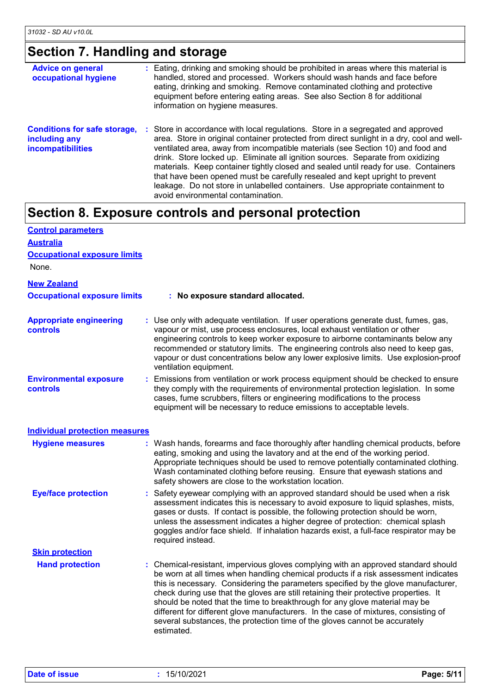## **Section 7. Handling and storage**

| <b>Advice on general</b><br>occupational hygiene                                 | : Eating, drinking and smoking should be prohibited in areas where this material is<br>handled, stored and processed. Workers should wash hands and face before<br>eating, drinking and smoking. Remove contaminated clothing and protective<br>equipment before entering eating areas. See also Section 8 for additional<br>information on hygiene measures.                                                                                                                                                                                                                                                                                      |
|----------------------------------------------------------------------------------|----------------------------------------------------------------------------------------------------------------------------------------------------------------------------------------------------------------------------------------------------------------------------------------------------------------------------------------------------------------------------------------------------------------------------------------------------------------------------------------------------------------------------------------------------------------------------------------------------------------------------------------------------|
| <b>Conditions for safe storage,</b><br>including any<br><b>incompatibilities</b> | : Store in accordance with local regulations. Store in a segregated and approved<br>area. Store in original container protected from direct sunlight in a dry, cool and well-<br>ventilated area, away from incompatible materials (see Section 10) and food and<br>drink. Store locked up. Eliminate all ignition sources. Separate from oxidizing<br>materials. Keep container tightly closed and sealed until ready for use. Containers<br>that have been opened must be carefully resealed and kept upright to prevent<br>leakage. Do not store in unlabelled containers. Use appropriate containment to<br>avoid environmental contamination. |

## **Section 8. Exposure controls and personal protection**

| <b>Control parameters</b>                        |                                                                                                                                                                                                                                                                                                                                                                                                                                                                                                                                                                                                                           |
|--------------------------------------------------|---------------------------------------------------------------------------------------------------------------------------------------------------------------------------------------------------------------------------------------------------------------------------------------------------------------------------------------------------------------------------------------------------------------------------------------------------------------------------------------------------------------------------------------------------------------------------------------------------------------------------|
| <b>Australia</b>                                 |                                                                                                                                                                                                                                                                                                                                                                                                                                                                                                                                                                                                                           |
| <b>Occupational exposure limits</b>              |                                                                                                                                                                                                                                                                                                                                                                                                                                                                                                                                                                                                                           |
| None.                                            |                                                                                                                                                                                                                                                                                                                                                                                                                                                                                                                                                                                                                           |
| <b>New Zealand</b>                               |                                                                                                                                                                                                                                                                                                                                                                                                                                                                                                                                                                                                                           |
| <b>Occupational exposure limits</b>              | : No exposure standard allocated.                                                                                                                                                                                                                                                                                                                                                                                                                                                                                                                                                                                         |
| <b>Appropriate engineering</b><br>controls       | : Use only with adequate ventilation. If user operations generate dust, fumes, gas,<br>vapour or mist, use process enclosures, local exhaust ventilation or other<br>engineering controls to keep worker exposure to airborne contaminants below any<br>recommended or statutory limits. The engineering controls also need to keep gas,<br>vapour or dust concentrations below any lower explosive limits. Use explosion-proof<br>ventilation equipment.                                                                                                                                                                 |
| <b>Environmental exposure</b><br><b>controls</b> | Emissions from ventilation or work process equipment should be checked to ensure<br>they comply with the requirements of environmental protection legislation. In some<br>cases, fume scrubbers, filters or engineering modifications to the process<br>equipment will be necessary to reduce emissions to acceptable levels.                                                                                                                                                                                                                                                                                             |
| <b>Individual protection measures</b>            |                                                                                                                                                                                                                                                                                                                                                                                                                                                                                                                                                                                                                           |
| <b>Hygiene measures</b>                          | : Wash hands, forearms and face thoroughly after handling chemical products, before<br>eating, smoking and using the lavatory and at the end of the working period.<br>Appropriate techniques should be used to remove potentially contaminated clothing.<br>Wash contaminated clothing before reusing. Ensure that eyewash stations and<br>safety showers are close to the workstation location.                                                                                                                                                                                                                         |
| <b>Eye/face protection</b>                       | : Safety eyewear complying with an approved standard should be used when a risk<br>assessment indicates this is necessary to avoid exposure to liquid splashes, mists,<br>gases or dusts. If contact is possible, the following protection should be worn,<br>unless the assessment indicates a higher degree of protection: chemical splash<br>goggles and/or face shield. If inhalation hazards exist, a full-face respirator may be<br>required instead.                                                                                                                                                               |
| <b>Skin protection</b>                           |                                                                                                                                                                                                                                                                                                                                                                                                                                                                                                                                                                                                                           |
| <b>Hand protection</b>                           | : Chemical-resistant, impervious gloves complying with an approved standard should<br>be worn at all times when handling chemical products if a risk assessment indicates<br>this is necessary. Considering the parameters specified by the glove manufacturer,<br>check during use that the gloves are still retaining their protective properties. It<br>should be noted that the time to breakthrough for any glove material may be<br>different for different glove manufacturers. In the case of mixtures, consisting of<br>several substances, the protection time of the gloves cannot be accurately<br>estimated. |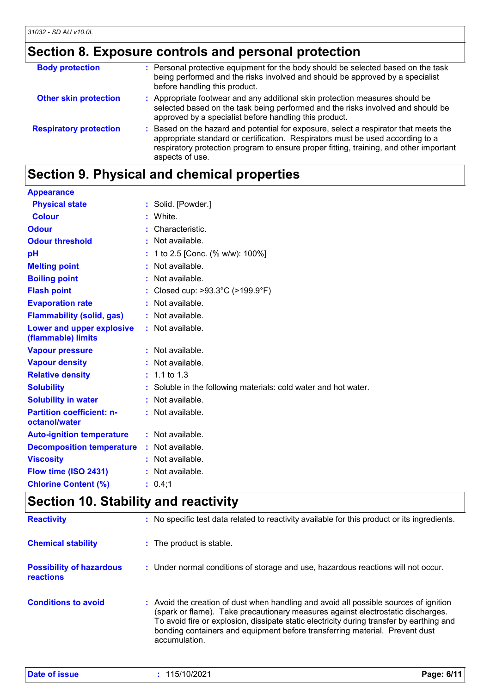## **Section 8. Exposure controls and personal protection**

| <b>Body protection</b>        | : Personal protective equipment for the body should be selected based on the task<br>being performed and the risks involved and should be approved by a specialist<br>before handling this product.                                                                                 |
|-------------------------------|-------------------------------------------------------------------------------------------------------------------------------------------------------------------------------------------------------------------------------------------------------------------------------------|
| <b>Other skin protection</b>  | : Appropriate footwear and any additional skin protection measures should be<br>selected based on the task being performed and the risks involved and should be<br>approved by a specialist before handling this product.                                                           |
| <b>Respiratory protection</b> | : Based on the hazard and potential for exposure, select a respirator that meets the<br>appropriate standard or certification. Respirators must be used according to a<br>respiratory protection program to ensure proper fitting, training, and other important<br>aspects of use. |

## **Section 9. Physical and chemical properties**

| <b>Appearance</b>                                 |                                                                 |
|---------------------------------------------------|-----------------------------------------------------------------|
| <b>Physical state</b>                             | : Solid. [Powder.]                                              |
| <b>Colour</b>                                     | : White.                                                        |
| <b>Odour</b>                                      | Characteristic.                                                 |
| <b>Odour threshold</b>                            | : Not available.                                                |
| pH                                                | 1 to 2.5 [Conc. (% w/w): 100%]                                  |
| <b>Melting point</b>                              | : Not available.                                                |
| <b>Boiling point</b>                              | : Not available.                                                |
| <b>Flash point</b>                                | : Closed cup: $>93.3^{\circ}$ C ( $>199.9^{\circ}$ F)           |
| <b>Evaporation rate</b>                           | : Not available.                                                |
| <b>Flammability (solid, gas)</b>                  | : Not available.                                                |
| Lower and upper explosive<br>(flammable) limits   | : Not available.                                                |
| <b>Vapour pressure</b>                            | : Not available.                                                |
| <b>Vapour density</b>                             | $:$ Not available.                                              |
| <b>Relative density</b>                           | $: 1.1 \text{ to } 1.3$                                         |
| <b>Solubility</b>                                 | : Soluble in the following materials: cold water and hot water. |
| <b>Solubility in water</b>                        | : Not available.                                                |
| <b>Partition coefficient: n-</b><br>octanol/water | : Not available.                                                |
| <b>Auto-ignition temperature</b>                  | : Not available.                                                |
| <b>Decomposition temperature</b>                  | : Not available.                                                |
| <b>Viscosity</b>                                  | : Not available.                                                |
| Flow time (ISO 2431)                              | : Not available.                                                |
| <b>Chlorine Content (%)</b>                       | : 0.4;1                                                         |

### **Section 10. Stability and reactivity**

| <b>Reactivity</b>                            | : No specific test data related to reactivity available for this product or its ingredients.                                                                                                                                                                                                                                                                         |
|----------------------------------------------|----------------------------------------------------------------------------------------------------------------------------------------------------------------------------------------------------------------------------------------------------------------------------------------------------------------------------------------------------------------------|
| <b>Chemical stability</b>                    | : The product is stable.                                                                                                                                                                                                                                                                                                                                             |
| <b>Possibility of hazardous</b><br>reactions | : Under normal conditions of storage and use, hazardous reactions will not occur.                                                                                                                                                                                                                                                                                    |
| <b>Conditions to avoid</b>                   | : Avoid the creation of dust when handling and avoid all possible sources of ignition<br>(spark or flame). Take precautionary measures against electrostatic discharges.<br>To avoid fire or explosion, dissipate static electricity during transfer by earthing and<br>bonding containers and equipment before transferring material. Prevent dust<br>accumulation. |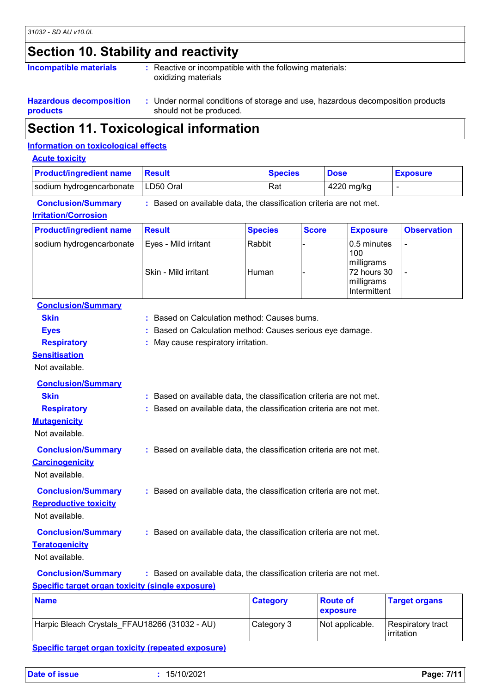## **Section 10. Stability and reactivity**

| <b>Incompatible materials</b> | : Reactive or incompatible with the following materials:<br>oxidizing materials |
|-------------------------------|---------------------------------------------------------------------------------|
|                               |                                                                                 |

#### **Hazardous decomposition products :** Under normal conditions of storage and use, hazardous decomposition products should not be produced.

### **Section 11. Toxicological information**

#### **Information on toxicological effects**

| <b>Product/ingredient name</b>                                              | <b>Result</b>                                                       | <b>Species</b>  | <b>Dose</b>                 |                                                                               | <b>Exposure</b>      |
|-----------------------------------------------------------------------------|---------------------------------------------------------------------|-----------------|-----------------------------|-------------------------------------------------------------------------------|----------------------|
| sodium hydrogencarbonate                                                    | LD50 Oral                                                           | Rat             |                             | 4220 mg/kg                                                                    | $\blacksquare$       |
| <b>Conclusion/Summary</b><br><b>Irritation/Corrosion</b>                    | : Based on available data, the classification criteria are not met. |                 |                             |                                                                               |                      |
| <b>Product/ingredient name</b>                                              | <b>Result</b>                                                       | <b>Species</b>  | <b>Score</b>                | <b>Exposure</b>                                                               | <b>Observation</b>   |
| sodium hydrogencarbonate                                                    | Eyes - Mild irritant<br>Skin - Mild irritant                        | Rabbit<br>Human |                             | 0.5 minutes<br>100<br>milligrams<br>72 hours 30<br>milligrams<br>Intermittent |                      |
| <b>Conclusion/Summary</b>                                                   |                                                                     |                 |                             |                                                                               |                      |
| <b>Skin</b>                                                                 | : Based on Calculation method: Causes burns.                        |                 |                             |                                                                               |                      |
| <b>Eyes</b>                                                                 | : Based on Calculation method: Causes serious eye damage.           |                 |                             |                                                                               |                      |
| <b>Respiratory</b><br><b>Sensitisation</b><br>Not available.                | : May cause respiratory irritation.                                 |                 |                             |                                                                               |                      |
| <b>Conclusion/Summary</b>                                                   |                                                                     |                 |                             |                                                                               |                      |
| <b>Skin</b>                                                                 | : Based on available data, the classification criteria are not met. |                 |                             |                                                                               |                      |
| <b>Respiratory</b><br><b>Mutagenicity</b><br>Not available.                 | : Based on available data, the classification criteria are not met. |                 |                             |                                                                               |                      |
| <b>Conclusion/Summary</b><br><b>Carcinogenicity</b><br>Not available.       | : Based on available data, the classification criteria are not met. |                 |                             |                                                                               |                      |
| <b>Conclusion/Summary</b><br><b>Reproductive toxicity</b><br>Not available. | : Based on available data, the classification criteria are not met. |                 |                             |                                                                               |                      |
| <b>Conclusion/Summary</b><br><b>Teratogenicity</b><br>Not available.        | : Based on available data, the classification criteria are not met. |                 |                             |                                                                               |                      |
| <b>Conclusion/Summary</b>                                                   | : Based on available data, the classification criteria are not met. |                 |                             |                                                                               |                      |
| <b>Specific target organ toxicity (single exposure)</b>                     |                                                                     |                 |                             |                                                                               |                      |
| <b>Name</b>                                                                 |                                                                     | <b>Category</b> | <b>Route of</b><br>exposure |                                                                               | <b>Target organs</b> |

| <b>Name</b>                                   | <b>Category</b> | <b>Route of</b><br>exposure | <b>Target organs</b>            |
|-----------------------------------------------|-----------------|-----------------------------|---------------------------------|
| Harpic Bleach Crystals FFAU18266 (31032 - AU) | Category 3      | Not applicable.             | Respiratory tract<br>irritation |

#### **Specific target organ toxicity (repeated exposure)**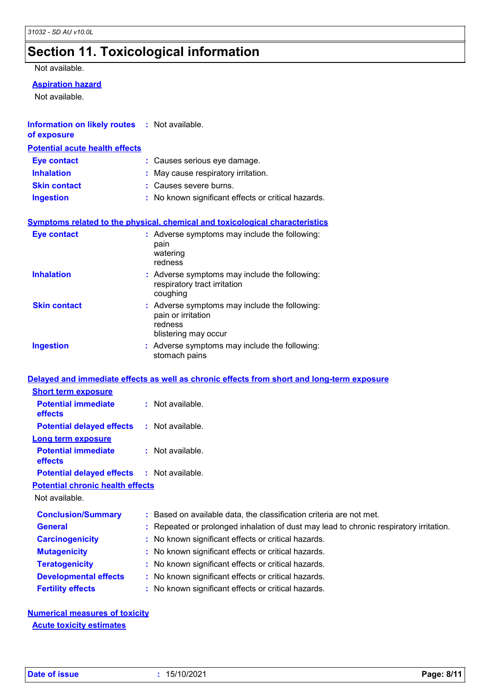## **Section 11. Toxicological information**

#### Not available.

#### **Aspiration hazard**

Not available.

| Information on likely routes : Not available.<br>of exposure |                                                                                                        |
|--------------------------------------------------------------|--------------------------------------------------------------------------------------------------------|
| <b>Potential acute health effects</b>                        |                                                                                                        |
| <b>Eye contact</b>                                           | : Causes serious eye damage.                                                                           |
| <b>Inhalation</b>                                            | May cause respiratory irritation.                                                                      |
| <b>Skin contact</b>                                          | : Causes severe burns.                                                                                 |
| <b>Ingestion</b>                                             | : No known significant effects or critical hazards.                                                    |
|                                                              | <b>Symptoms related to the physical, chemical and toxicological characteristics</b>                    |
| <b>Eye contact</b>                                           | : Adverse symptoms may include the following:<br>pain<br>watering<br>redness                           |
| <b>Inhalation</b>                                            | : Adverse symptoms may include the following:<br>respiratory tract irritation<br>coughing              |
| <b>Skin contact</b>                                          | : Adverse symptoms may include the following:<br>pain or irritation<br>redness<br>blistering may occur |
| <b>Ingestion</b>                                             | : Adverse symptoms may include the following:<br>stomach pains                                         |

#### **Delayed and immediate effects as well as chronic effects from short and long-term exposure**

| <b>Short term exposure</b>                        |                                                                                        |
|---------------------------------------------------|----------------------------------------------------------------------------------------|
| <b>Potential immediate</b><br><b>effects</b>      | $:$ Not available.                                                                     |
| <b>Potential delayed effects</b>                  | $:$ Not available.                                                                     |
| <b>Long term exposure</b>                         |                                                                                        |
| <b>Potential immediate</b><br><b>effects</b>      | $:$ Not available.                                                                     |
| <b>Potential delayed effects : Not available.</b> |                                                                                        |
| <b>Potential chronic health effects</b>           |                                                                                        |
| Not available.                                    |                                                                                        |
| <b>Conclusion/Summary</b>                         | : Based on available data, the classification criteria are not met.                    |
| <b>General</b>                                    | : Repeated or prolonged inhalation of dust may lead to chronic respiratory irritation. |
| <b>Carcinogenicity</b>                            | : No known significant effects or critical hazards.                                    |
| <b>Mutagenicity</b>                               | : No known significant effects or critical hazards.                                    |
| <b>Teratogenicity</b>                             | : No known significant effects or critical hazards.                                    |
| <b>Developmental effects</b>                      | : No known significant effects or critical hazards.                                    |
| <b>Fertility effects</b>                          | : No known significant effects or critical hazards.                                    |
|                                                   |                                                                                        |

#### **Numerical measures of toxicity Acute toxicity estimates**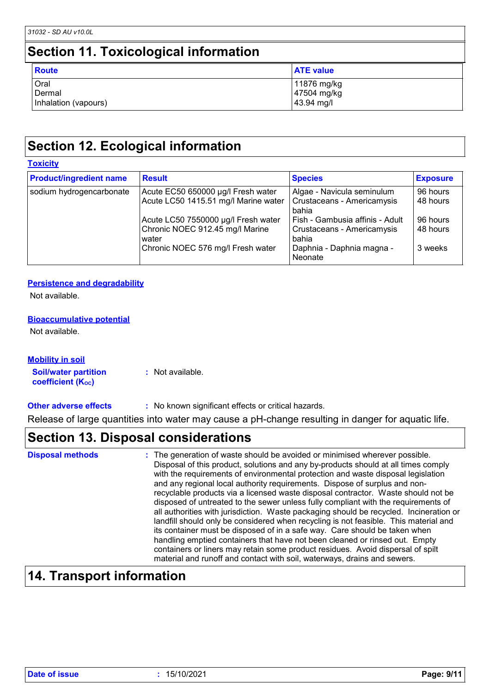## **Section 11. Toxicological information**

| <b>Route</b>         | <b>ATE value</b> |
|----------------------|------------------|
| Oral                 | 11876 mg/kg      |
| Dermal               | 47504 mg/kg      |
| Inhalation (vapours) | 43.94 mg/l       |

## **Section 12. Ecological information**

| <b>Toxicity</b>                |                                          |                                      |                 |  |  |
|--------------------------------|------------------------------------------|--------------------------------------|-----------------|--|--|
| <b>Product/ingredient name</b> | <b>Result</b>                            | <b>Species</b>                       | <b>Exposure</b> |  |  |
| sodium hydrogencarbonate       | Acute EC50 650000 µg/l Fresh water       | Algae - Navicula seminulum           | 96 hours        |  |  |
|                                | Acute LC50 1415.51 mg/l Marine water     | Crustaceans - Americamysis<br>bahia  | 48 hours        |  |  |
|                                | Acute LC50 7550000 µg/l Fresh water      | Fish - Gambusia affinis - Adult      | 96 hours        |  |  |
|                                | Chronic NOEC 912.45 mg/l Marine<br>water | Crustaceans - Americamysis<br>bahia  | 48 hours        |  |  |
|                                | Chronic NOEC 576 mg/l Fresh water        | Daphnia - Daphnia magna -<br>Neonate | 3 weeks         |  |  |

#### **Persistence and degradability**

Not available.

#### **Bioaccumulative potential**

Not available.

#### **Mobility in soil**

**Soil/water partition coefficient (KOC) :** Not available.

#### **Other adverse effects** : No known significant effects or critical hazards.

Release of large quantities into water may cause a pH-change resulting in danger for aquatic life.

### **Section 13. Disposal considerations**

| <b>Disposal methods</b> | : The generation of waste should be avoided or minimised wherever possible.<br>Disposal of this product, solutions and any by-products should at all times comply<br>with the requirements of environmental protection and waste disposal legislation<br>and any regional local authority requirements. Dispose of surplus and non-<br>recyclable products via a licensed waste disposal contractor. Waste should not be<br>disposed of untreated to the sewer unless fully compliant with the requirements of<br>all authorities with jurisdiction. Waste packaging should be recycled. Incineration or<br>landfill should only be considered when recycling is not feasible. This material and<br>its container must be disposed of in a safe way. Care should be taken when<br>handling emptied containers that have not been cleaned or rinsed out. Empty<br>containers or liners may retain some product residues. Avoid dispersal of spilt |
|-------------------------|--------------------------------------------------------------------------------------------------------------------------------------------------------------------------------------------------------------------------------------------------------------------------------------------------------------------------------------------------------------------------------------------------------------------------------------------------------------------------------------------------------------------------------------------------------------------------------------------------------------------------------------------------------------------------------------------------------------------------------------------------------------------------------------------------------------------------------------------------------------------------------------------------------------------------------------------------|
|                         | material and runoff and contact with soil, waterways, drains and sewers.                                                                                                                                                                                                                                                                                                                                                                                                                                                                                                                                                                                                                                                                                                                                                                                                                                                                         |

## **14. Transport information**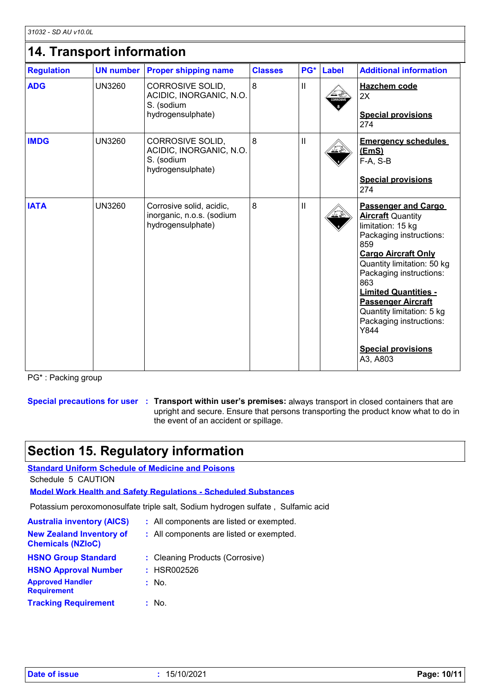| <b>UN number</b> |                                                                            |                                        |              |       |                                                                                                                                                                                                                                                                                                                                         |
|------------------|----------------------------------------------------------------------------|----------------------------------------|--------------|-------|-----------------------------------------------------------------------------------------------------------------------------------------------------------------------------------------------------------------------------------------------------------------------------------------------------------------------------------------|
|                  | <b>Proper shipping name</b>                                                | <b>Classes</b>                         | PG*          | Label | <b>Additional information</b>                                                                                                                                                                                                                                                                                                           |
| <b>UN3260</b>    | CORROSIVE SOLID,<br>ACIDIC, INORGANIC, N.O.<br>S. (sodium                  | 8                                      | $\mathsf{I}$ |       | <b>Hazchem code</b><br>2X                                                                                                                                                                                                                                                                                                               |
|                  |                                                                            |                                        |              |       | <b>Special provisions</b><br>274                                                                                                                                                                                                                                                                                                        |
| <b>UN3260</b>    | CORROSIVE SOLID,<br>ACIDIC, INORGANIC, N.O.<br>S. (sodium                  | 8                                      | $\sf II$     |       | <b>Emergency schedules</b><br>(EmS)<br>$F-A, S-B$                                                                                                                                                                                                                                                                                       |
|                  |                                                                            |                                        |              |       | <b>Special provisions</b><br>274                                                                                                                                                                                                                                                                                                        |
| <b>UN3260</b>    | Corrosive solid, acidic,<br>inorganic, n.o.s. (sodium<br>hydrogensulphate) | 8                                      | $\mathsf{I}$ |       | <b>Passenger and Cargo</b><br><b>Aircraft Quantity</b><br>limitation: 15 kg<br>Packaging instructions:<br>859<br><b>Cargo Aircraft Only</b><br>Quantity limitation: 50 kg<br>Packaging instructions:<br>863<br><b>Limited Quantities -</b><br><b>Passenger Aircraft</b><br>Quantity limitation: 5 kg<br>Packaging instructions:<br>Y844 |
|                  |                                                                            | hydrogensulphate)<br>hydrogensulphate) |              |       |                                                                                                                                                                                                                                                                                                                                         |

PG\* : Packing group

**Special precautions for user Transport within user's premises:** always transport in closed containers that are **:** upright and secure. Ensure that persons transporting the product know what to do in the event of an accident or spillage.

### **Section 15. Regulatory information**

**Standard Uniform Schedule of Medicine and Poisons** Schedule 5 CAUTION

**Model Work Health and Safety Regulations - Scheduled Substances**

Potassium peroxomonosulfate triple salt, Sodium hydrogen sulfate , Sulfamic acid

| <b>Australia inventory (AICS)</b>                           | : All components are listed or exempted. |
|-------------------------------------------------------------|------------------------------------------|
| <b>New Zealand Inventory of</b><br><b>Chemicals (NZIoC)</b> | : All components are listed or exempted. |
| <b>HSNO Group Standard</b>                                  | : Cleaning Products (Corrosive)          |
| <b>HSNO Approval Number</b>                                 | : HSR002526                              |
| <b>Approved Handler</b><br><b>Requirement</b>               | : No.                                    |
| <b>Tracking Requirement</b>                                 | : No.                                    |